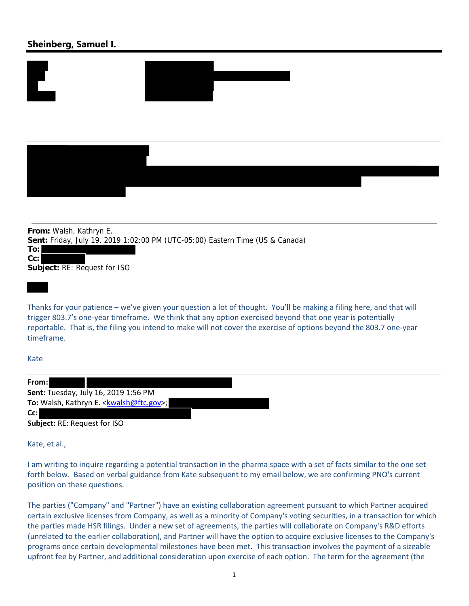## **Sheinberg, Samuel I.**







**From:** Walsh, Kathryn E. **Sent:** Friday, July 19, 2019 1:02:00 PM (UTC-05:00) Eastern Time (US & Canada) **To: Cc: Subject:** RE: Request for ISO

Thanks for your patience – we've given your question a lot of thought. You'll be making a filing here, and that will trigger 803.7's one‐year timeframe. We think that any option exercised beyond that one year is potentially reportable. That is, the filing you intend to make will not cover the exercise of options beyond the 803.7 one‐year timeframe.

## Kate

| From:                                       |
|---------------------------------------------|
| <b>Sent:</b> Tuesday, July 16, 2019 1:56 PM |
| To: Walsh, Kathryn E. < kwalsh@ftc.gov>;    |
| Cc:l                                        |

**Subject:** RE: Request for ISO

Kate, et al.,

I am writing to inquire regarding a potential transaction in the pharma space with a set of facts similar to the one set forth below. Based on verbal guidance from Kate subsequent to my email below, we are confirming PNO's current position on these questions.

The parties ("Company" and "Partner") have an existing collaboration agreement pursuant to which Partner acquired certain exclusive licenses from Company, as well as a minority of Company's voting securities, in a transaction for which the parties made HSR filings. Under a new set of agreements, the parties will collaborate on Company's R&D efforts (unrelated to the earlier collaboration), and Partner will have the option to acquire exclusive licenses to the Company's programs once certain developmental milestones have been met. This transaction involves the payment of a sizeable upfront fee by Partner, and additional consideration upon exercise of each option. The term for the agreement (the